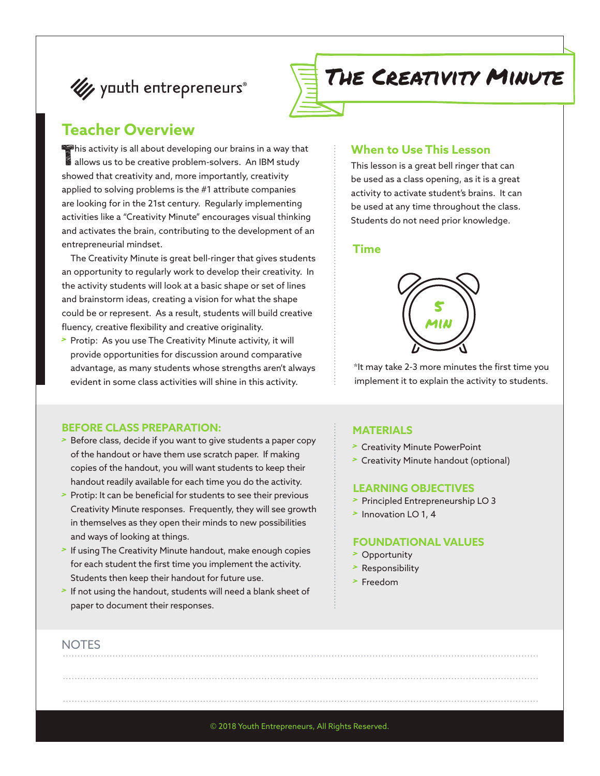# **Ut youth entrepreneurs**®



### **Teacher Overview**

This activity is all about developing our brains in a way that allows us to be creative problem-solvers. An IBM study allows us to be creative problem-solvers. An IBM study showed that creativity and, more importantly, creativity applied to solving problems is the #1 attribute companies are looking for in the 21st century. Regularly implementing activities like a "Creativity Minute" encourages visual thinking and activates the brain, contributing to the development of an entrepreneurial mindset.

The Creativity Minute is great bell-ringer that gives students an opportunity to regularly work to develop their creativity. In the activity students will look at a basic shape or set of lines and brainstorm ideas, creating a vision for what the shape could be or represent. As a result, students will build creative fluency, creative flexibility and creative originality.

> Protip: As you use The Creativity Minute activity, it will provide opportunities for discussion around comparative advantage, as many students whose strengths aren't always evident in some class activities will shine in this activity.

### **BEFORE CLASS PREPARATION:**

- > Before class, decide if you want to give students a paper copy of the handout or have them use scratch paper. If making copies of the handout, you will want students to keep their handout readily available for each time you do the activity.
- Protip: It can be beneficial for students to see their previous Creativity Minute responses. Frequently, they will see growth in themselves as they open their minds to new possibilities and ways of looking at things.
- If using The Creativity Minute handout, make enough copies for each student the first time you implement the activity. Students then keep their handout for future use.
- If not using the handout, students will need a blank sheet of paper to document their responses.

#### **When to Use This Lesson**

This lesson is a great bell ringer that can be used as a class opening, as it is a great activity to activate student's brains. It can be used at any time throughout the class. Students do not need prior knowledge.

### **Time**



\*It may take 2-3 more minutes the first time you implement it to explain the activity to students.

#### **MATERIALS**

- > Creativity Minute PowerPoint
- > Creativity Minute handout (optional)

#### **LEARNING OBJECTIVES**

- > Principled Entrepreneurship LO 3
- > Innovation LO 1, 4

#### **FOUNDATIONAL VALUES**

- > Opportunity
- > Responsibility
- > Freedom

#### **NOTES**

© 2018 Youth Entrepreneurs, All Rights Reserved.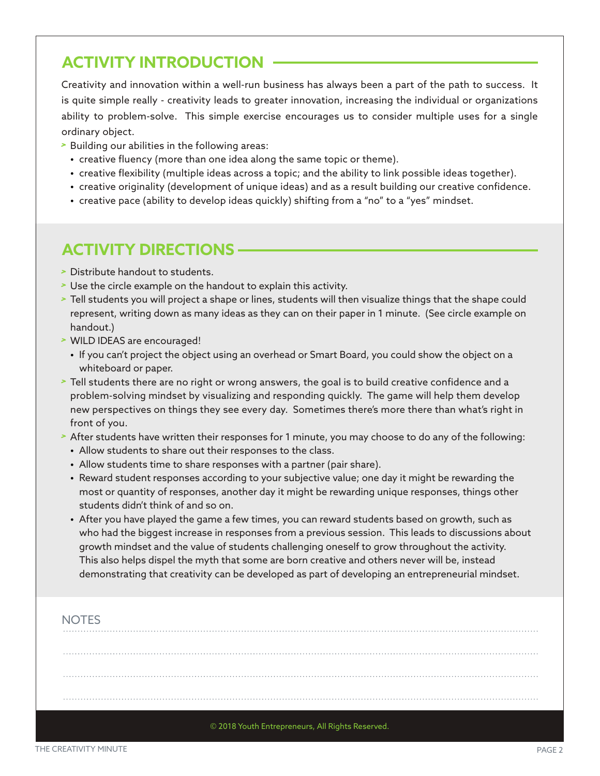## **ACTIVITY INTRODUCTION**

Creativity and innovation within a well-run business has always been a part of the path to success. It is quite simple really - creativity leads to greater innovation, increasing the individual or organizations ability to problem-solve. This simple exercise encourages us to consider multiple uses for a single ordinary object.

- > Building our abilities in the following areas:
	- **•** creative fluency (more than one idea along the same topic or theme).
	- **•** creative flexibility (multiple ideas across a topic; and the ability to link possible ideas together).
	- **•** creative originality (development of unique ideas) and as a result building our creative confidence.
	- **•** creative pace (ability to develop ideas quickly) shifting from a "no" to a "yes" mindset.

## **ACTIVITY DIRECTIONS**

- > Distribute handout to students.
- > Use the circle example on the handout to explain this activity.
- > Tell students you will project a shape or lines, students will then visualize things that the shape could represent, writing down as many ideas as they can on their paper in 1 minute. (See circle example on handout.)
- > WILD IDEAS are encouraged!
	- **•** If you can't project the object using an overhead or Smart Board, you could show the object on a whiteboard or paper.
- > Tell students there are no right or wrong answers, the goal is to build creative confidence and a problem-solving mindset by visualizing and responding quickly. The game will help them develop new perspectives on things they see every day. Sometimes there's more there than what's right in front of you.
- > After students have written their responses for 1 minute, you may choose to do any of the following:
	- **•** Allow students to share out their responses to the class.
	- **•** Allow students time to share responses with a partner (pair share).
	- **•** Reward student responses according to your subjective value; one day it might be rewarding the most or quantity of responses, another day it might be rewarding unique responses, things other students didn't think of and so on.
	- **•** After you have played the game a few times, you can reward students based on growth, such as who had the biggest increase in responses from a previous session. This leads to discussions about growth mindset and the value of students challenging oneself to grow throughout the activity. This also helps dispel the myth that some are born creative and others never will be, instead demonstrating that creativity can be developed as part of developing an entrepreneurial mindset.

### NOTES

© 2018 Youth Entrepreneurs, All Rights Reserved.